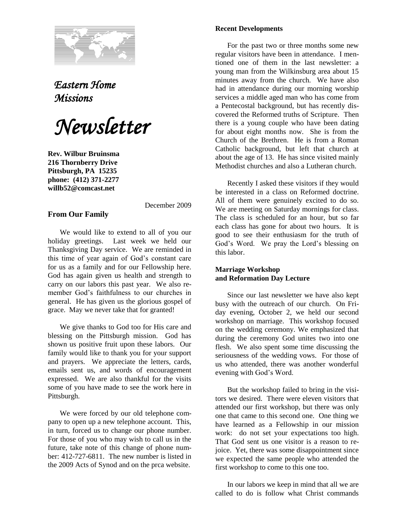

## *Eastern Home Missions*

*Newsletter*

**Rev. Wilbur Bruinsma 216 Thornberry Drive Pittsburgh, PA 15235 phone: (412) 371-2277 willb52@comcast.net**

## **From Our Family**

December 2009

We would like to extend to all of you our holiday greetings. Last week we held our Thanksgiving Day service. We are reminded in this time of year again of God's constant care for us as a family and for our Fellowship here. God has again given us health and strength to carry on our labors this past year. We also remember God's faithfulness to our churches in general. He has given us the glorious gospel of grace. May we never take that for granted!

We give thanks to God too for His care and blessing on the Pittsburgh mission. God has shown us positive fruit upon these labors. Our family would like to thank you for your support and prayers. We appreciate the letters, cards, emails sent us, and words of encouragement expressed. We are also thankful for the visits some of you have made to see the work here in Pittsburgh.

We were forced by our old telephone company to open up a new telephone account. This, in turn, forced us to change our phone number. For those of you who may wish to call us in the future, take note of this change of phone number: 412-727-6811. The new number is listed in the 2009 Acts of Synod and on the prca website.

## **Recent Developments**

For the past two or three months some new regular visitors have been in attendance. I mentioned one of them in the last newsletter: a young man from the Wilkinsburg area about 15 minutes away from the church. We have also had in attendance during our morning worship services a middle aged man who has come from a Pentecostal background, but has recently discovered the Reformed truths of Scripture. Then there is a young couple who have been dating for about eight months now. She is from the Church of the Brethren. He is from a Roman Catholic background, but left that church at about the age of 13. He has since visited mainly Methodist churches and also a Lutheran church.

Recently I asked these visitors if they would be interested in a class on Reformed doctrine. All of them were genuinely excited to do so. We are meeting on Saturday mornings for class. The class is scheduled for an hour, but so far each class has gone for about two hours. It is good to see their enthusiasm for the truth of God's Word. We pray the Lord's blessing on this labor.

## **Marriage Workshop and Reformation Day Lecture**

Since our last newsletter we have also kept busy with the outreach of our church. On Friday evening, October 2, we held our second workshop on marriage. This workshop focused on the wedding ceremony. We emphasized that during the ceremony God unites two into one flesh. We also spent some time discussing the seriousness of the wedding vows. For those of us who attended, there was another wonderful evening with God's Word.

But the workshop failed to bring in the visitors we desired. There were eleven visitors that attended our first workshop, but there was only one that came to this second one. One thing we have learned as a Fellowship in our mission work: do not set your expectations too high. That God sent us one visitor is a reason to rejoice. Yet, there was some disappointment since we expected the same people who attended the first workshop to come to this one too.

In our labors we keep in mind that all we are called to do is follow what Christ commands